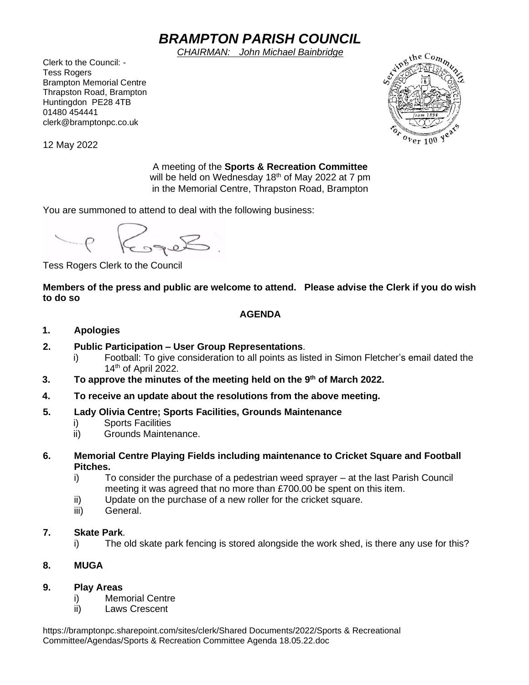# *BRAMPTON PARISH COUNCIL*

*CHAIRMAN: John Michael Bainbridge*

Clerk to the Council: - Tess Rogers Brampton Memorial Centre Thrapston Road, Brampton Huntingdon PE28 4TB 01480 454441 clerk@bramptonpc.co.uk



12 May 2022

A meeting of the **Sports & Recreation Committee** will be held on Wednesday 18<sup>th</sup> of May 2022 at 7 pm in the Memorial Centre, Thrapston Road, Brampton

You are summoned to attend to deal with the following business:

Roger ?

Tess Rogers Clerk to the Council

**Members of the press and public are welcome to attend. Please advise the Clerk if you do wish to do so**

## **AGENDA**

#### **1. Apologies**

- **2. Public Participation – User Group Representations**.
	- i) Football: To give consideration to all points as listed in Simon Fletcher's email dated the  $14<sup>th</sup>$  of April 2022.
- **3. To approve the minutes of the meeting held on the 9 th of March 2022.**
- **4. To receive an update about the resolutions from the above meeting.**
- **5. Lady Olivia Centre; Sports Facilities, Grounds Maintenance**
	- i) Sports Facilities
	- ii) Grounds Maintenance.
- **6. Memorial Centre Playing Fields including maintenance to Cricket Square and Football Pitches.**
	- i) To consider the purchase of a pedestrian weed sprayer at the last Parish Council meeting it was agreed that no more than £700.00 be spent on this item.
	- ii) Update on the purchase of a new roller for the cricket square.
	- iii) General.

### **7. Skate Park**.

i) The old skate park fencing is stored alongside the work shed, is there any use for this?

### **8. MUGA**

### **9. Play Areas**

- i) Memorial Centre
- ii) Laws Crescent

https://bramptonpc.sharepoint.com/sites/clerk/Shared Documents/2022/Sports & Recreational Committee/Agendas/Sports & Recreation Committee Agenda 18.05.22.doc